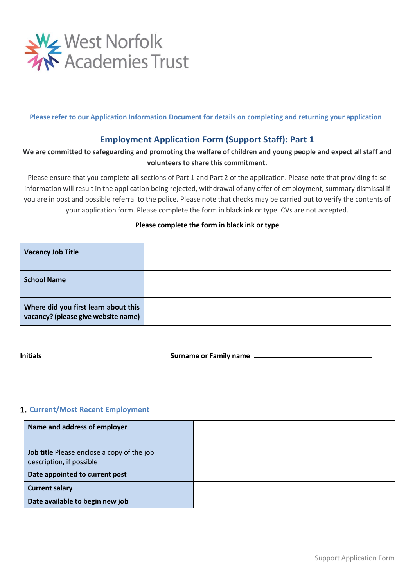

**Please refer to our Application Information Document for details on completing and returning your application**

# **Employment Application Form (Support Staff): Part 1**

**We are committed to safeguarding and promoting the welfare of children and young people and expect all staff and volunteers to share this commitment.**

Please ensure that you complete **all** sections of Part 1 and Part 2 of the application. Please note that providing false information will result in the application being rejected, withdrawal of any offer of employment, summary dismissal if you are in post and possible referral to the police. Please note that checks may be carried out to verify the contents of your application form. Please complete the form in black ink or type. CVs are not accepted.

## **Please complete the form in black ink or type**

| <b>Vacancy Job Title</b>                                                    |  |
|-----------------------------------------------------------------------------|--|
| <b>School Name</b>                                                          |  |
| Where did you first learn about this<br>vacancy? (please give website name) |  |

**Initials Surname or Family name Surname or Family name Surname Surname Surname Surname** 

# **Current/Most Recent Employment**

| Name and address of employer                                                  |  |
|-------------------------------------------------------------------------------|--|
| <b>Job title</b> Please enclose a copy of the job<br>description, if possible |  |
| Date appointed to current post                                                |  |
| <b>Current salary</b>                                                         |  |
| Date available to begin new job                                               |  |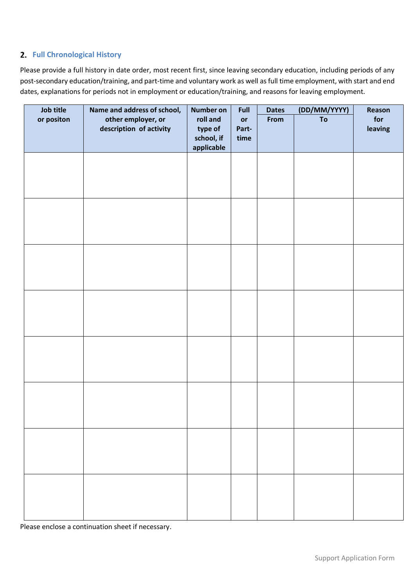# **Full Chronological History**

Please provide a full history in date order, most recent first, since leaving secondary education, including periods of any post-secondary education/training, and part-time and voluntary work as well as full time employment, with start and end dates, explanations for periods not in employment or education/training, and reasons for leaving employment.

| Job title<br>or positon | Name and address of school,<br>other employer, or | <b>Number on</b><br>roll and        | Full<br>or    | <b>Dates</b><br>From | (DD/MM/YYYY)<br>To | Reason<br>for |
|-------------------------|---------------------------------------------------|-------------------------------------|---------------|----------------------|--------------------|---------------|
|                         | description of activity                           | type of<br>school, if<br>applicable | Part-<br>time |                      |                    | leaving       |
|                         |                                                   |                                     |               |                      |                    |               |
|                         |                                                   |                                     |               |                      |                    |               |
|                         |                                                   |                                     |               |                      |                    |               |
|                         |                                                   |                                     |               |                      |                    |               |
|                         |                                                   |                                     |               |                      |                    |               |
|                         |                                                   |                                     |               |                      |                    |               |
|                         |                                                   |                                     |               |                      |                    |               |
|                         |                                                   |                                     |               |                      |                    |               |
|                         |                                                   |                                     |               |                      |                    |               |
|                         |                                                   |                                     |               |                      |                    |               |
|                         |                                                   |                                     |               |                      |                    |               |
|                         |                                                   |                                     |               |                      |                    |               |
|                         |                                                   |                                     |               |                      |                    |               |
|                         |                                                   |                                     |               |                      |                    |               |
|                         |                                                   |                                     |               |                      |                    |               |
|                         |                                                   |                                     |               |                      |                    |               |

Please enclose a continuation sheet if necessary.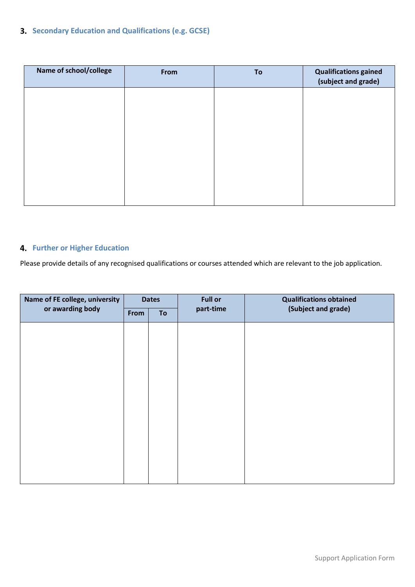# **Secondary Education and Qualifications (e.g. GCSE)**

| From | To | <b>Qualifications gained</b><br>(subject and grade) |
|------|----|-----------------------------------------------------|
|      |    |                                                     |
|      |    |                                                     |
|      |    |                                                     |
|      |    |                                                     |
|      |    |                                                     |
|      |    |                                                     |

# **4. Further or Higher Education**

Please provide details of any recognised qualifications or courses attended which are relevant to the job application.

| Name of FE college, university |      | <b>Dates</b> | <b>Full or</b> | <b>Qualifications obtained</b> |  |  |  |
|--------------------------------|------|--------------|----------------|--------------------------------|--|--|--|
| or awarding body               | From | To           | part-time      | (Subject and grade)            |  |  |  |
|                                |      |              |                |                                |  |  |  |
|                                |      |              |                |                                |  |  |  |
|                                |      |              |                |                                |  |  |  |
|                                |      |              |                |                                |  |  |  |
|                                |      |              |                |                                |  |  |  |
|                                |      |              |                |                                |  |  |  |
|                                |      |              |                |                                |  |  |  |
|                                |      |              |                |                                |  |  |  |
|                                |      |              |                |                                |  |  |  |
|                                |      |              |                |                                |  |  |  |
|                                |      |              |                |                                |  |  |  |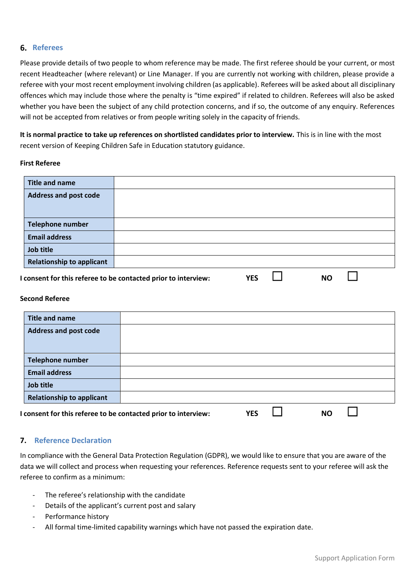## **Referees**

Please provide details of two people to whom reference may be made. The first referee should be your current, or most recent Headteacher (where relevant) or Line Manager. If you are currently not working with children, please provide a referee with your most recent employment involving children (as applicable). Referees will be asked about all disciplinary offences which may include those where the penalty is "time expired" if related to children. Referees will also be asked whether you have been the subject of any child protection concerns, and if so, the outcome of any enquiry. References will not be accepted from relatives or from people writing solely in the capacity of friends.

**It is normal practice to take up references on shortlisted candidates prior to interview.** This is in line with the most recent version of Keeping Children Safe in Education statutory guidance.

### **First Referee**

| <b>Title and name</b>            |                                                                |     |    |  |
|----------------------------------|----------------------------------------------------------------|-----|----|--|
| <b>Address and post code</b>     |                                                                |     |    |  |
|                                  |                                                                |     |    |  |
| <b>Telephone number</b>          |                                                                |     |    |  |
| <b>Email address</b>             |                                                                |     |    |  |
| Job title                        |                                                                |     |    |  |
| <b>Relationship to applicant</b> |                                                                |     |    |  |
|                                  | I consent for this referee to be contacted prior to interview: | YES | NΟ |  |

## **Second Referee**

| <b>Title and name</b>                                          |     |    |  |
|----------------------------------------------------------------|-----|----|--|
| <b>Address and post code</b>                                   |     |    |  |
|                                                                |     |    |  |
| <b>Telephone number</b>                                        |     |    |  |
| <b>Email address</b>                                           |     |    |  |
| Job title                                                      |     |    |  |
| <b>Relationship to applicant</b>                               |     |    |  |
| I consent for this referee to be contacted prior to interview: | YES | ΝO |  |

## **7. Reference Declaration**

In compliance with the General Data Protection Regulation (GDPR), we would like to ensure that you are aware of the data we will collect and process when requesting your references. Reference requests sent to your referee will ask the referee to confirm as a minimum:

- The referee's relationship with the candidate
- Details of the applicant's current post and salary
- Performance history
- All formal time-limited capability warnings which have not passed the expiration date.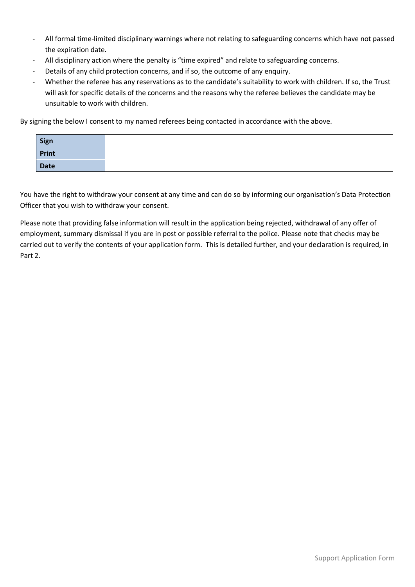- All formal time-limited disciplinary warnings where not relating to safeguarding concerns which have not passed the expiration date.
- All disciplinary action where the penalty is "time expired" and relate to safeguarding concerns.
- Details of any child protection concerns, and if so, the outcome of any enquiry.
- Whether the referee has any reservations as to the candidate's suitability to work with children. If so, the Trust will ask for specific details of the concerns and the reasons why the referee believes the candidate may be unsuitable to work with children.

By signing the below I consent to my named referees being contacted in accordance with the above.

| Sign  |  |
|-------|--|
| Print |  |
| Date  |  |

You have the right to withdraw your consent at any time and can do so by informing our organisation's Data Protection Officer that you wish to withdraw your consent.

Please note that providing false information will result in the application being rejected, withdrawal of any offer of employment, summary dismissal if you are in post or possible referral to the police. Please note that checks may be carried out to verify the contents of your application form. This is detailed further, and your declaration is required, in Part 2.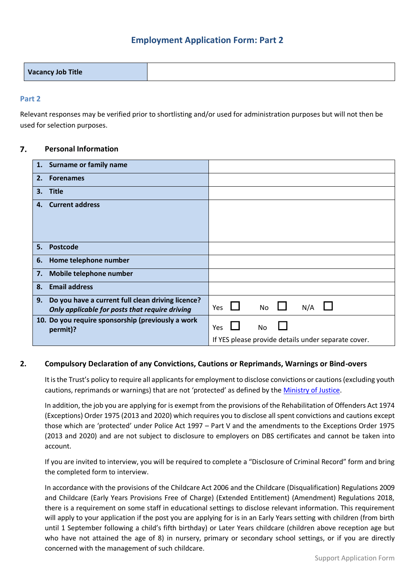# **Employment Application Form: Part 2**

| <b>Vacancy Job Title</b> |  |
|--------------------------|--|
|                          |  |

## **Part 2**

Relevant responses may be verified prior to shortlisting and/or used for administration purposes but will not then be used for selection purposes.

#### 7. **Personal Information**

|    | 1. Surname or family name                                                                           |     |    |    |     |                                                     |
|----|-----------------------------------------------------------------------------------------------------|-----|----|----|-----|-----------------------------------------------------|
| 2. | <b>Forenames</b>                                                                                    |     |    |    |     |                                                     |
| 3. | <b>Title</b>                                                                                        |     |    |    |     |                                                     |
| 4. | <b>Current address</b>                                                                              |     |    |    |     |                                                     |
|    |                                                                                                     |     |    |    |     |                                                     |
| 5. | <b>Postcode</b>                                                                                     |     |    |    |     |                                                     |
| 6. | Home telephone number                                                                               |     |    |    |     |                                                     |
| 7. | Mobile telephone number                                                                             |     |    |    |     |                                                     |
| 8. | <b>Email address</b>                                                                                |     |    |    |     |                                                     |
| 9. | Do you have a current full clean driving licence?<br>Only applicable for posts that require driving | Yes |    | No | N/A |                                                     |
|    | 10. Do you require sponsorship (previously a work<br>permit)?                                       | Yes | No |    |     |                                                     |
|    |                                                                                                     |     |    |    |     | If YES please provide details under separate cover. |

## **2. Compulsory Declaration of any Convictions, Cautions or Reprimands, Warnings or Bind-overs**

It is the Trust's policy to require all applicants for employment to disclose convictions or cautions (excluding youth cautions, reprimands or warnings) that are not 'protected' as defined by the [Ministry of Justice.](https://www.gov.uk/government/publications/new-guidance-on-the-rehabilitation-of-offenders-act-1974.)

In addition, the job you are applying for is exempt from the provisions of the Rehabilitation of Offenders Act 1974 (Exceptions) Order 1975 (2013 and 2020) which requires you to disclose all spent convictions and cautions except those which are 'protected' under Police Act 1997 – Part V and the amendments to the Exceptions Order 1975 (2013 and 2020) and are not subject to disclosure to employers on DBS certificates and cannot be taken into account.

If you are invited to interview, you will be required to complete a "Disclosure of Criminal Record" form and bring the completed form to interview.

In accordance with the provisions of the Childcare Act 2006 and the Childcare (Disqualification) Regulations 2009 and Childcare (Early Years Provisions Free of Charge) (Extended Entitlement) (Amendment) Regulations 2018, there is a requirement on some staff in educational settings to disclose relevant information. This requirement will apply to your application if the post you are applying for is in an Early Years setting with children (from birth until 1 September following a child's fifth birthday) or Later Years childcare (children above reception age but who have not attained the age of 8) in nursery, primary or secondary school settings, or if you are directly concerned with the management of such childcare.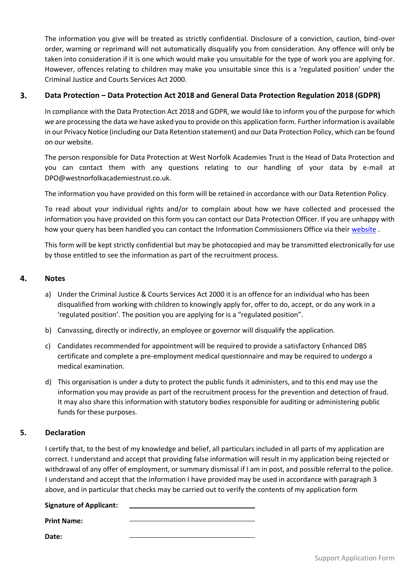The information you give will be treated as strictly confidential. Disclosure of a conviction, caution, bind-over order, warning or reprimand will not automatically disqualify you from consideration. Any offence will only be taken into consideration if it is one which would make you unsuitable for the type of work you are applying for. However, offences relating to children may make you unsuitable since this is a 'regulated position' under the Criminal Justice and Courts Services Act 2000.

#### 3. **Data Protection – Data Protection Act 2018 and General Data Protection Regulation 2018 (GDPR)**

In compliance with the Data Protection Act 2018 and GDPR, we would like to inform you of the purpose for which we are processing the data we have asked you to provide on this application form. Further information is available in our Privacy Notice (including our Data Retention statement) and our Data Protection Policy, which can be found on our website.

The person responsible for Data Protection at West Norfolk Academies Trust is the Head of Data Protection and you can contact them with any questions relating to our handling of your data by e-mail at DPO@westnorfolkacademiestrust.co.uk.

The information you have provided on this form will be retained in accordance with our Data Retention Policy.

To read about your individual rights and/or to complain about how we have collected and processed the information you have provided on this form you can contact our Data Protection Officer. If you are unhappy with how your query has been handled you can contact the Information Commissioners Office via their [website](https://ico.org.uk/) .

This form will be kept strictly confidential but may be photocopied and may be transmitted electronically for use by those entitled to see the information as part of the recruitment process.

#### 4. **Notes**

- a) Under the Criminal Justice & Courts Services Act 2000 it is an offence for an individual who has been disqualified from working with children to knowingly apply for, offer to do, accept, or do any work in a 'regulated position'. The position you are applying for is a "regulated position".
- b) Canvassing, directly or indirectly, an employee or governor will disqualify the application.
- c) Candidates recommended for appointment will be required to provide a satisfactory Enhanced DBS certificate and complete a pre-employment medical questionnaire and may be required to undergo a medical examination.
- d) This organisation is under a duty to protect the public funds it administers, and to this end may use the information you may provide as part of the recruitment process for the prevention and detection of fraud. It may also share this information with statutory bodies responsible for auditing or administering public funds for these purposes.

# **5. Declaration**

I certify that, to the best of my knowledge and belief, all particulars included in all parts of my application are correct. I understand and accept that providing false information will result in my application being rejected or withdrawal of any offer of employment, or summary dismissal if I am in post, and possible referral to the police. I understand and accept that the information I have provided may be used in accordance with paragraph 3 above, and in particular that checks may be carried out to verify the contents of my application form

## **Signature of Applicant:**

**Print Name:** 

**Date:**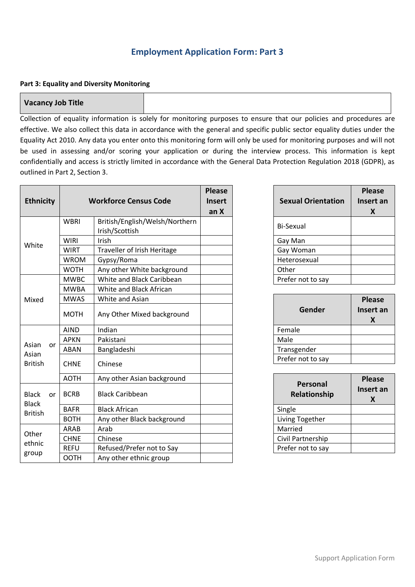# **Employment Application Form: Part 3**

## **Part 3: Equality and Diversity Monitoring**

## **Vacancy Job Title**

Collection of equality information is solely for monitoring purposes to ensure that our policies and procedures are effective. We also collect this data in accordance with the general and specific public sector equality duties under the Equality Act 2010. Any data you enter onto this monitoring form will only be used for monitoring purposes and will not be used in assessing and/or scoring your application or during the interview process. This information is kept confidentially and access is strictly limited in accordance with the General Data Protection Regulation 2018 (GDPR), as outlined in Part 2, Section 3.

| <b>Ethnicity</b>               |    |             | <b>Workforce Census Code</b>                     | <b>Please</b><br><b>Insert</b><br>an X | <b>Sexual Orienta</b>          |
|--------------------------------|----|-------------|--------------------------------------------------|----------------------------------------|--------------------------------|
|                                |    | <b>WBRI</b> | British/English/Welsh/Northern<br>Irish/Scottish |                                        | <b>Bi-Sexual</b>               |
| White                          |    | <b>WIRI</b> | Irish                                            |                                        | Gay Man                        |
|                                |    | <b>WIRT</b> | Traveller of Irish Heritage                      |                                        | Gay Woman                      |
|                                |    | <b>WROM</b> | Gypsy/Roma                                       |                                        | Heterosexual                   |
|                                |    | <b>WOTH</b> | Any other White background                       |                                        | Other                          |
|                                |    | <b>MWBC</b> | White and Black Caribbean                        |                                        | Prefer not to say              |
|                                |    | <b>MWBA</b> | White and Black African                          |                                        |                                |
| Mixed                          |    | <b>MWAS</b> | White and Asian                                  |                                        |                                |
|                                |    | <b>MOTH</b> | Any Other Mixed background                       |                                        | <b>Gender</b>                  |
|                                |    | <b>AIND</b> | Indian                                           |                                        | Female                         |
|                                |    | <b>APKN</b> | Pakistani                                        |                                        | Male                           |
| Asian<br>Asian                 | or | <b>ABAN</b> | Bangladeshi                                      |                                        | Transgender                    |
| <b>British</b>                 |    | <b>CHNE</b> | Chinese                                          |                                        | Prefer not to say              |
|                                |    | <b>AOTH</b> | Any other Asian background                       |                                        |                                |
| <b>Black</b><br>or             |    | <b>BCRB</b> | <b>Black Caribbean</b>                           |                                        | <b>Personal</b><br>Relationshi |
| <b>Black</b><br><b>British</b> |    | <b>BAFR</b> | <b>Black African</b>                             |                                        | Single                         |
|                                |    | <b>BOTH</b> | Any other Black background                       |                                        | Living Together                |
|                                |    | ARAB        | Arab                                             |                                        | Married                        |
| Other                          |    | <b>CHNE</b> | Chinese                                          |                                        | Civil Partnership              |
| ethnic                         |    | <b>REFU</b> | Refused/Prefer not to Say                        |                                        | Prefer not to say              |
| group                          |    | <b>OOTH</b> | Any other ethnic group                           |                                        |                                |

| <b>Sexual Orientation</b> | <b>Please</b><br>Insert an<br>X |
|---------------------------|---------------------------------|
| <b>Bi-Sexual</b>          |                                 |
| Gay Man                   |                                 |
| Gay Woman                 |                                 |
| Heterosexual              |                                 |
| Other                     |                                 |
| Prefer not to say         |                                 |

| Gender            | <b>Please</b><br>Insert an<br>X |
|-------------------|---------------------------------|
| Female            |                                 |
| Male              |                                 |
| Transgender       |                                 |
| Prefer not to say |                                 |

| <b>Personal</b><br><b>Relationship</b> | <b>Please</b><br>Insert an<br>X |
|----------------------------------------|---------------------------------|
| Single                                 |                                 |
| Living Together                        |                                 |
| Married                                |                                 |
| Civil Partnership                      |                                 |
| Prefer not to say                      |                                 |